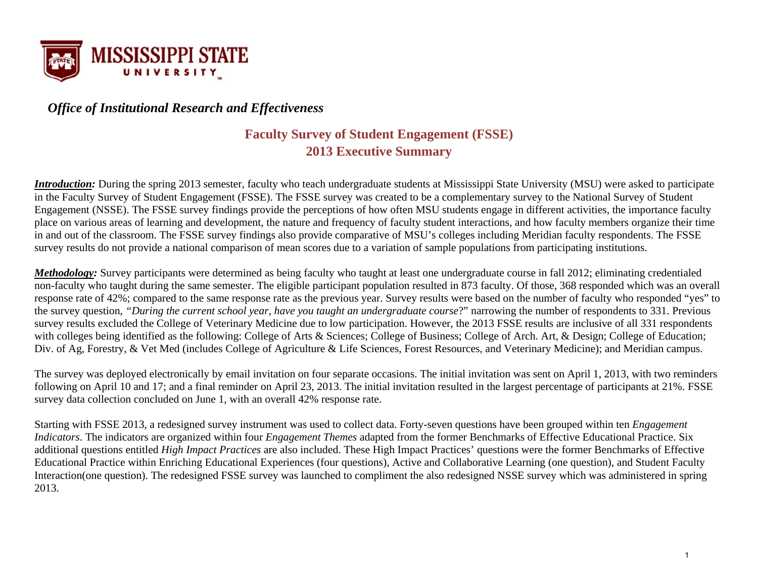

# *Office of Institutional Research and Effectiveness*

# **Faculty Survey of Student Engagement (FSSE) 2013 Executive Summary**

*Introduction:* During the spring 2013 semester, faculty who teach undergraduate students at Mississippi State University (MSU) were asked to participate in the Faculty Survey of Student Engagement (FSSE). The FSSE survey was created to be a complementary survey to the National Survey of Student Engagement (NSSE). The FSSE survey findings provide the perceptions of how often MSU students engage in different activities, the importance faculty place on various areas of learning and development, the nature and frequency of faculty student interactions, and how faculty members organize their time in and out of the classroom. The FSSE survey findings also provide comparative of MSU's colleges including Meridian faculty respondents. The FSSE survey results do not provide a national comparison of mean scores due to a variation of sample populations from participating institutions.

*Methodology:* Survey participants were determined as being faculty who taught at least one undergraduate course in fall 2012; eliminating credentialed non-faculty who taught during the same semester. The eligible participant population resulted in 873 faculty. Of those, 368 responded which was an overall response rate of 42%; compared to the same response rate as the previous year. Survey results were based on the number of faculty who responded "yes" to the survey question, *"During the current school year, have you taught an undergraduate course*?" narrowing the number of respondents to 331. Previous survey results excluded the College of Veterinary Medicine due to low participation. However, the 2013 FSSE results are inclusive of all 331 respondents with colleges being identified as the following: College of Arts & Sciences; College of Business; College of Arch. Art, & Design; College of Education; Div. of Ag, Forestry, & Vet Med (includes College of Agriculture & Life Sciences, Forest Resources, and Veterinary Medicine); and Meridian campus.

The survey was deployed electronically by email invitation on four separate occasions. The initial invitation was sent on April 1, 2013, with two reminders following on April 10 and 17; and a final reminder on April 23, 2013. The initial invitation resulted in the largest percentage of participants at 21%. FSSE survey data collection concluded on June 1, with an overall 42% response rate.

Starting with FSSE 2013, a redesigned survey instrument was used to collect data. Forty-seven questions have been grouped within ten *Engagement Indicators*. The indicators are organized within four *Engagement Themes* adapted from the former Benchmarks of Effective Educational Practice. Six additional questions entitled *High Impact Practices* are also included. These High Impact Practices' questions were the former Benchmarks of Effective Educational Practice within Enriching Educational Experiences (four questions), Active and Collaborative Learning (one question), and Student Faculty Interaction(one question). The redesigned FSSE survey was launched to compliment the also redesigned NSSE survey which was administered in spring 2013.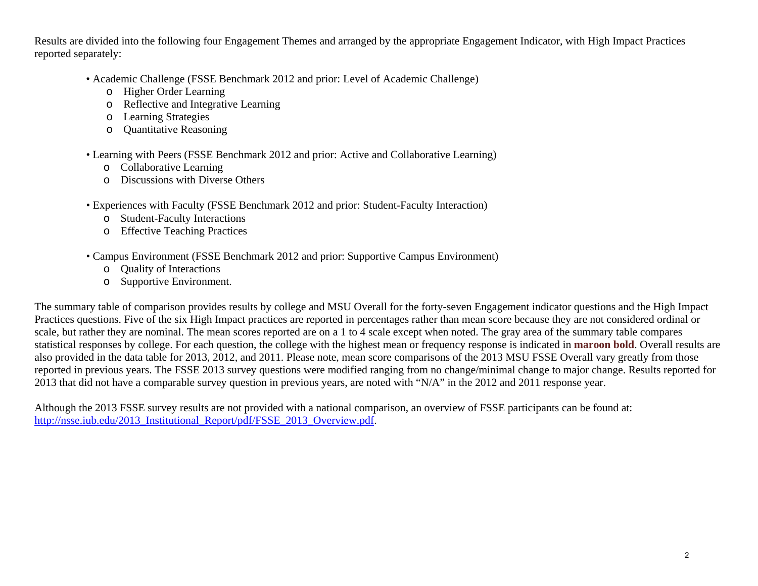Results are divided into the following four Engagement Themes and arranged by the appropriate Engagement Indicator, with High Impact Practices reported separately:

- Academic Challenge (FSSE Benchmark 2012 and prior: Level of Academic Challenge)
	- o Higher Order Learning
	- oReflective and Integrative Learning
	- oLearning Strategies
	- oQuantitative Reasoning
- Learning with Peers (FSSE Benchmark 2012 and prior: Active and Collaborative Learning)
	- o Collaborative Learning
	- o Discussions with Diverse Others
- Experiences with Faculty (FSSE Benchmark 2012 and prior: Student-Faculty Interaction)
	- o Student-Faculty Interactions
	- o Effective Teaching Practices
- Campus Environment (FSSE Benchmark 2012 and prior: Supportive Campus Environment)
	- o Quality of Interactions
	- o Supportive Environment.

The summary table of comparison provides results by college and MSU Overall for the forty-seven Engagement indicator questions and the High Impact Practices questions. Five of the six High Impact practices are reported in percentages rather than mean score because they are not considered ordinal or scale, but rather they are nominal. The mean scores reported are on a 1 to 4 scale except when noted. The gray area of the summary table compares statistical responses by college. For each question, the college with the highest mean or frequency response is indicated in **maroon bold**. Overall results are also provided in the data table for 2013, 2012, and 2011. Please note, mean score comparisons of the 2013 MSU FSSE Overall vary greatly from those reported in previous years. The FSSE 2013 survey questions were modified ranging from no change/minimal change to major change. Results reported for 2013 that did not have a comparable survey question in previous years, are noted with "N/A" in the 2012 and 2011 response year.

Although the 2013 FSSE survey results are not provided with a national comparison, an overview of FSSE participants can be found at: http://nsse.iub.edu/2013 Institutional Report/pdf/FSSE 2013 Overview.pdf.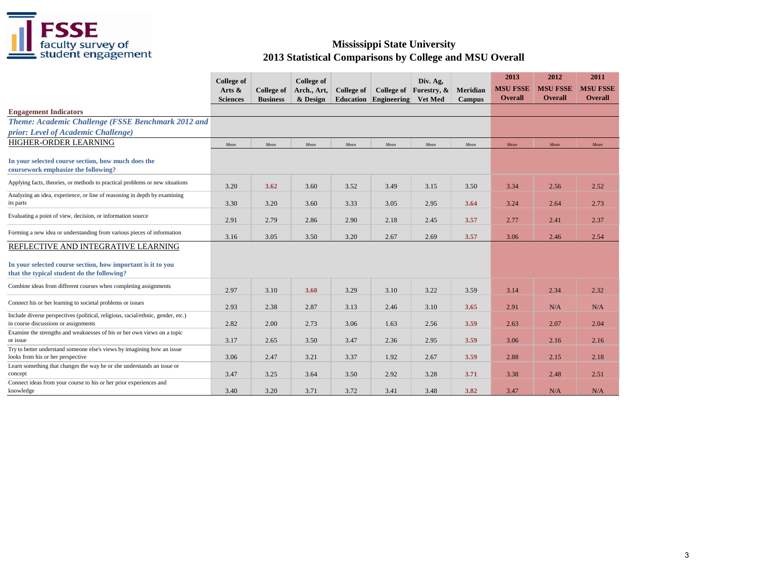

|                                                                                                                                                  | <b>College of</b><br>Arts &<br><b>Sciences</b> | <b>College of</b><br><b>Business</b> | <b>College of</b><br>Arch., Art,<br>& Design | <b>College of</b><br>Education | College of<br>Engineering | Div. Ag,<br>Forestry, &<br><b>Vet Med</b> | Meridian<br><b>Campus</b> | 2013<br><b>MSU FSSE</b><br><b>Overall</b> | 2012<br><b>MSU FSSE</b><br><b>Overall</b> | 2011<br><b>MSU FSSE</b><br><b>Overall</b> |
|--------------------------------------------------------------------------------------------------------------------------------------------------|------------------------------------------------|--------------------------------------|----------------------------------------------|--------------------------------|---------------------------|-------------------------------------------|---------------------------|-------------------------------------------|-------------------------------------------|-------------------------------------------|
| <b>Engagement Indicators</b>                                                                                                                     |                                                |                                      |                                              |                                |                           |                                           |                           |                                           |                                           |                                           |
| Theme: Academic Challenge (FSSE Benchmark 2012 and<br>prior: Level of Academic Challenge)                                                        |                                                |                                      |                                              |                                |                           |                                           |                           |                                           |                                           |                                           |
| HIGHER-ORDER LEARNING                                                                                                                            | Mean                                           | Mean                                 | Mean                                         | Mean                           | Mean                      | Mean                                      | Mean                      | Mean                                      | Mean                                      | Mean                                      |
| In your selected course section, how much does the<br>coursework emphasize the following?                                                        |                                                |                                      |                                              |                                |                           |                                           |                           |                                           |                                           |                                           |
| Applying facts, theories, or methods to practical problems or new situations                                                                     | 3.20                                           | 3.62                                 | 3.60                                         | 3.52                           | 3.49                      | 3.15                                      | 3.50                      | 3.34                                      | 2.56                                      | 2.52                                      |
| Analyzing an idea, experience, or line of reasoning in depth by examining<br>its parts                                                           | 3.30                                           | 3.20                                 | 3.60                                         | 3.33                           | 3.05                      | 2.95                                      | 3.64                      | 3.24                                      | 2.64                                      | 2.73                                      |
| Evaluating a point of view, decision, or information source                                                                                      | 2.91                                           | 2.79                                 | 2.86                                         | 2.90                           | 2.18                      | 2.45                                      | 3.57                      | 2.77                                      | 2.41                                      | 2.37                                      |
| Forming a new idea or understanding from various pieces of information                                                                           | 3.16                                           | 3.05                                 | 3.50                                         | 3.20                           | 2.67                      | 2.69                                      | 3.57                      | 3.06                                      | 2.46                                      | 2.54                                      |
| REFLECTIVE AND INTEGRATIVE LEARNING<br>In your selected course section, how important is it to you<br>that the typical student do the following? |                                                |                                      |                                              |                                |                           |                                           |                           |                                           |                                           |                                           |
| Combine ideas from different courses when completing assignments                                                                                 | 2.97                                           | 3.10                                 | 3.60                                         | 3.29                           | 3.10                      | 3.22                                      | 3.59                      | 3.14                                      | 2.34                                      | 2.32                                      |
| Connect his or her learning to societal problems or issues                                                                                       | 2.93                                           | 2.38                                 | 2.87                                         | 3.13                           | 2.46                      | 3.10                                      | 3.65                      | 2.91                                      | N/A                                       | N/A                                       |
| Include diverse perspectives (political, religious, racial/ethnic, gender, etc.)<br>in course discussions or assignments                         | 2.82                                           | 2.00                                 | 2.73                                         | 3.06                           | 1.63                      | 2.56                                      | 3.59                      | 2.63                                      | 2.07                                      | 2.04                                      |
| Examine the strengths and weaknesses of his or her own views on a topic<br>or issue                                                              | 3.17                                           | 2.65                                 | 3.50                                         | 3.47                           | 2.36                      | 2.95                                      | 3.59                      | 3.06                                      | 2.16                                      | 2.16                                      |
| Try to better understand someone else's views by imagining how an issue<br>looks from his or her perspective                                     | 3.06                                           | 2.47                                 | 3.21                                         | 3.37                           | 1.92                      | 2.67                                      | 3.59                      | 2.88                                      | 2.15                                      | 2.18                                      |
| Learn something that changes the way he or she understands an issue or<br>concept                                                                | 3.47                                           | 3.25                                 | 3.64                                         | 3.50                           | 2.92                      | 3.28                                      | 3.71                      | 3.38                                      | 2.48                                      | 2.51                                      |
| Connect ideas from your course to his or her prior experiences and<br>knowledge                                                                  | 3.40                                           | 3.20                                 | 3.71                                         | 3.72                           | 3.41                      | 3.48                                      | 3.82                      | 3.47                                      | N/A                                       | N/A                                       |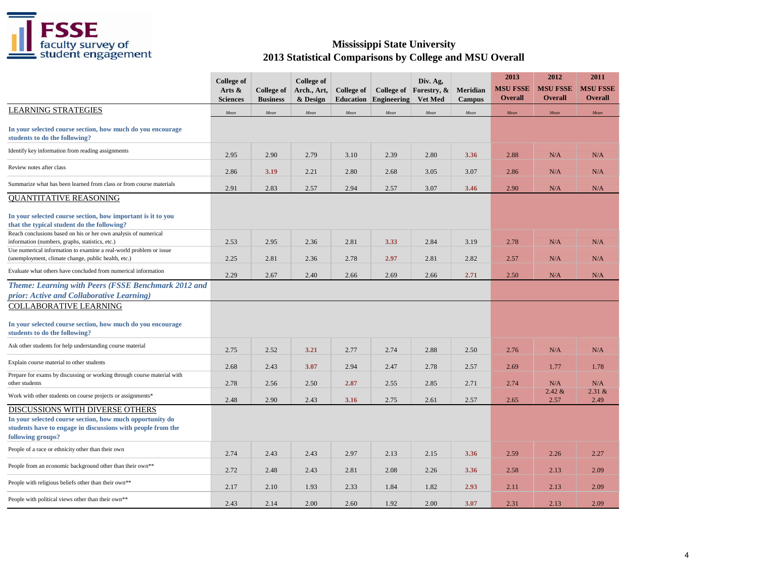

|                                                                                                                                                                                 | <b>College</b> of<br>Arts &<br><b>Sciences</b> | <b>College of</b><br><b>Business</b> | <b>College of</b><br>Arch., Art,<br>& Design | <b>College of</b><br><b>Education</b> | Engineering | Div. Ag,<br>College of Forestry, &<br>Vet Med | Meridian<br><b>Campus</b> | 2013<br><b>MSU FSSE</b><br><b>Overall</b> | 2012<br><b>MSU FSSE</b><br><b>Overall</b> | 2011<br><b>MSU FSSE</b><br><b>Overall</b> |
|---------------------------------------------------------------------------------------------------------------------------------------------------------------------------------|------------------------------------------------|--------------------------------------|----------------------------------------------|---------------------------------------|-------------|-----------------------------------------------|---------------------------|-------------------------------------------|-------------------------------------------|-------------------------------------------|
| <b>LEARNING STRATEGIES</b>                                                                                                                                                      | Mean                                           | Mean                                 | Mean                                         | Mean                                  | Mean        | Mean                                          | Mean                      | Mean                                      | Mean                                      | Mean                                      |
| In your selected course section, how much do you encourage<br>students to do the following?                                                                                     |                                                |                                      |                                              |                                       |             |                                               |                           |                                           |                                           |                                           |
| Identify key information from reading assignments                                                                                                                               | 2.95                                           | 2.90                                 | 2.79                                         | 3.10                                  | 2.39        | 2.80                                          | 3.36                      | 2.88                                      | N/A                                       | N/A                                       |
| Review notes after class                                                                                                                                                        | 2.86                                           | 3.19                                 | 2.21                                         | 2.80                                  | 2.68        | 3.05                                          | 3.07                      | 2.86                                      | N/A                                       | N/A                                       |
| Summarize what has been learned from class or from course materials                                                                                                             | 2.91                                           | 2.83                                 | 2.57                                         | 2.94                                  | 2.57        | 3.07                                          | 3.46                      | 2.90                                      | N/A                                       | N/A                                       |
| <b>QUANTITATIVE REASONING</b>                                                                                                                                                   |                                                |                                      |                                              |                                       |             |                                               |                           |                                           |                                           |                                           |
| In your selected course section, how important is it to you<br>that the typical student do the following?                                                                       |                                                |                                      |                                              |                                       |             |                                               |                           |                                           |                                           |                                           |
| Reach conclusions based on his or her own analysis of numerical<br>information (numbers, graphs, statistics, etc.)                                                              | 2.53                                           | 2.95                                 | 2.36                                         | 2.81                                  | 3.33        | 2.84                                          | 3.19                      | 2.78                                      | N/A                                       | N/A                                       |
| Use numerical information to examine a real-world problem or issue<br>(unemployment, climate change, public health, etc.)                                                       | 2.25                                           | 2.81                                 | 2.36                                         | 2.78                                  | 2.97        | 2.81                                          | 2.82                      | 2.57                                      | N/A                                       | N/A                                       |
| Evaluate what others have concluded from numerical information                                                                                                                  | 2.29                                           | 2.67                                 | 2.40                                         | 2.66                                  | 2.69        | 2.66                                          | 2.71                      | 2.50                                      | N/A                                       | N/A                                       |
| Theme: Learning with Peers (FSSE Benchmark 2012 and<br>prior: Active and Collaborative Learning)                                                                                |                                                |                                      |                                              |                                       |             |                                               |                           |                                           |                                           |                                           |
| COLLABORATIVE LEARNING<br>In your selected course section, how much do you encourage<br>students to do the following?                                                           |                                                |                                      |                                              |                                       |             |                                               |                           |                                           |                                           |                                           |
| Ask other students for help understanding course material                                                                                                                       | 2.75                                           | 2.52                                 | 3.21                                         | 2.77                                  | 2.74        | 2.88                                          | 2.50                      | 2.76                                      | N/A                                       | N/A                                       |
| Explain course material to other students                                                                                                                                       | 2.68                                           | 2.43                                 | 3.07                                         | 2.94                                  | 2.47        | 2.78                                          | 2.57                      | 2.69                                      | 1.77                                      | 1.78                                      |
| Prepare for exams by discussing or working through course material with<br>other students                                                                                       | 2.78                                           | 2.56                                 | 2.50                                         | 2.87                                  | 2.55        | 2.85                                          | 2.71                      | 2.74                                      | N/A                                       | N/A                                       |
| Work with other students on course projects or assignments*                                                                                                                     | 2.48                                           | 2.90                                 | 2.43                                         | 3.16                                  | 2.75        | 2.61                                          | 2.57                      | 2.65                                      | 2.42 &<br>2.57                            | 2.31 &<br>2.49                            |
| DISCUSSIONS WITH DIVERSE OTHERS<br>In your selected course section, how much opportunity do<br>students have to engage in discussions with people from the<br>following groups? |                                                |                                      |                                              |                                       |             |                                               |                           |                                           |                                           |                                           |
| People of a race or ethnicity other than their own                                                                                                                              | 2.74                                           | 2.43                                 | 2.43                                         | 2.97                                  | 2.13        | 2.15                                          | 3.36                      | 2.59                                      | 2.26                                      | 2.27                                      |
| People from an economic background other than their own**                                                                                                                       | 2.72                                           | 2.48                                 | 2.43                                         | 2.81                                  | 2.08        | 2.26                                          | 3.36                      | 2.58                                      | 2.13                                      | 2.09                                      |
| People with religious beliefs other than their own**                                                                                                                            | 2.17                                           | 2.10                                 | 1.93                                         | 2.33                                  | 1.84        | 1.82                                          | 2.93                      | 2.11                                      | 2.13                                      | 2.09                                      |
| People with political views other than their own**                                                                                                                              | 2.43                                           | 2.14                                 | 2.00                                         | 2.60                                  | 1.92        | 2.00                                          | 3.07                      | 2.31                                      | 2.13                                      | 2.09                                      |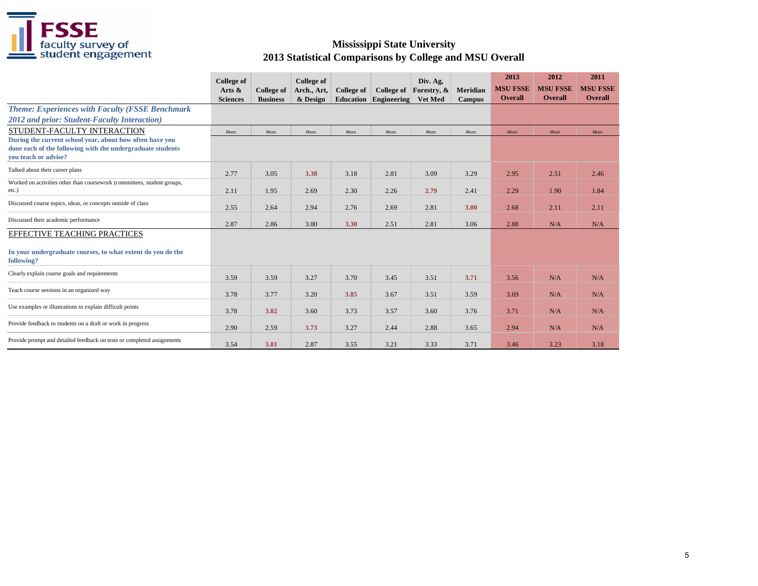

|                                                                                                                                                | <b>College of</b><br>Arts &<br><b>Sciences</b> | <b>College of</b><br><b>Business</b> | <b>College of</b><br>Arch., Art,<br>& Design | College of<br><b>Education</b> | College of<br>Engineering | Div. Ag,<br>Forestry, &<br><b>Vet Med</b> | Meridian<br>Campus | 2013<br><b>MSU FSSE</b><br><b>Overall</b> | 2012<br><b>MSU FSSE</b><br><b>Overall</b> | 2011<br><b>MSU FSSE</b><br><b>Overall</b> |
|------------------------------------------------------------------------------------------------------------------------------------------------|------------------------------------------------|--------------------------------------|----------------------------------------------|--------------------------------|---------------------------|-------------------------------------------|--------------------|-------------------------------------------|-------------------------------------------|-------------------------------------------|
| <b>Theme: Experiences with Faculty (FSSE Benchmark</b>                                                                                         |                                                |                                      |                                              |                                |                           |                                           |                    |                                           |                                           |                                           |
| 2012 and prior: Student-Faculty Interaction)                                                                                                   |                                                |                                      |                                              |                                |                           |                                           |                    |                                           |                                           |                                           |
| STUDENT-FACULTY INTERACTION                                                                                                                    | Mean                                           | Mean                                 | Mean                                         | Mean                           | Mean                      | Mean                                      | Mean               | Mean                                      | Mean                                      | Mean                                      |
| During the current school year, about how often have you<br>done each of the following with the undergraduate students<br>vou teach or advise? |                                                |                                      |                                              |                                |                           |                                           |                    |                                           |                                           |                                           |
| Talked about their career plans                                                                                                                | 2.77                                           | 3.05                                 | 3.38                                         | 3.18                           | 2.81                      | 3.09                                      | 3.29               | 2.95                                      | 2.51                                      | 2.46                                      |
| Worked on activities other than coursework (committees, student groups,<br>etc.)                                                               | 2.11                                           | 1.95                                 | 2.69                                         | 2.30                           | 2.26                      | 2.79                                      | 2.41               | 2.29                                      | 1.90                                      | 1.84                                      |
| Discussed course topics, ideas, or concepts outside of class                                                                                   | 2.55                                           | 2.64                                 | 2.94                                         | 2.76                           | 2.69                      | 2.81                                      | 3.00               | 2.68                                      | 2.11                                      | 2.11                                      |
| Discussed their academic performance                                                                                                           | 2.87                                           | 2.86                                 | 3.00                                         | 3.30                           | 2.51                      | 2.81                                      | 3.06               | 2.88                                      | N/A                                       | N/A                                       |
| <b>EFFECTIVE TEACHING PRACTICES</b><br>In your undergraduate courses, to what extent do you do the<br>following?                               |                                                |                                      |                                              |                                |                           |                                           |                    |                                           |                                           |                                           |
| Clearly explain course goals and requirements                                                                                                  | 3.59                                           | 3.59                                 | 3.27                                         | 3.70                           | 3.45                      | 3.51                                      | 3.71               | 3.56                                      | N/A                                       | N/A                                       |
| Teach course sessions in an organized way                                                                                                      | 3.78                                           | 3.77                                 | 3.20                                         | 3.85                           | 3.67                      | 3.51                                      | 3.59               | 3.69                                      | N/A                                       | N/A                                       |
| Use examples or illustrations to explain difficult points                                                                                      | 3.78                                           | 3.82                                 | 3.60                                         | 3.73                           | 3.57                      | 3.60                                      | 3.76               | 3.71                                      | N/A                                       | N/A                                       |
| Provide feedback to students on a draft or work in progress                                                                                    | 2.90                                           | 2.59                                 | 3.73                                         | 3.27                           | 2.44                      | 2.88                                      | 3.65               | 2.94                                      | N/A                                       | N/A                                       |
| Provide prompt and detailed feedback on tests or completed assignments                                                                         | 3.54                                           | 3.81                                 | 2.87                                         | 3.55                           | 3.21                      | 3.33                                      | 3.71               | 3.46                                      | 3.23                                      | 3.18                                      |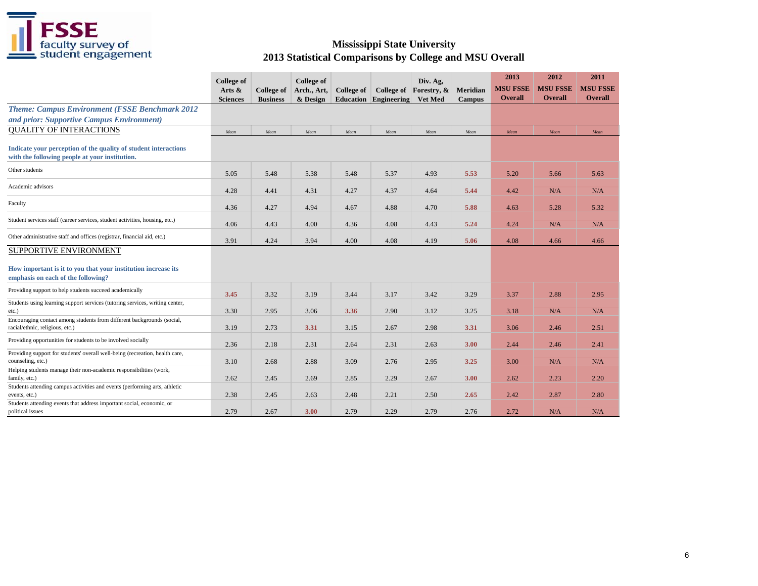

|                                                                                                                               | <b>College of</b><br>Arts $\&$<br><b>Sciences</b> | <b>College of</b><br><b>Business</b> | College of<br>Arch., Art,<br>& Design | <b>College of</b><br><b>Education</b> | College of<br>Engineering | Div. Ag,<br>Forestry, &<br>Vet Med | Meridian<br><b>Campus</b> | 2013<br><b>MSU FSSE</b><br><b>Overall</b> | 2012<br><b>MSU FSSE</b><br><b>Overall</b> | 2011<br><b>MSU FSSE</b><br><b>Overall</b> |
|-------------------------------------------------------------------------------------------------------------------------------|---------------------------------------------------|--------------------------------------|---------------------------------------|---------------------------------------|---------------------------|------------------------------------|---------------------------|-------------------------------------------|-------------------------------------------|-------------------------------------------|
| <b>Theme: Campus Environment (FSSE Benchmark 2012</b><br>and prior: Supportive Campus Environment)                            |                                                   |                                      |                                       |                                       |                           |                                    |                           |                                           |                                           |                                           |
| <b>OUALITY OF INTERACTIONS</b>                                                                                                | Mean                                              | Mean                                 | Mean                                  | Mean                                  | Mean                      | Mean                               | Mean                      | Mean                                      | Mean                                      | Mean                                      |
| Indicate your perception of the quality of student interactions<br>with the following people at your institution.             |                                                   |                                      |                                       |                                       |                           |                                    |                           |                                           |                                           |                                           |
| Other students                                                                                                                | 5.05                                              | 5.48                                 | 5.38                                  | 5.48                                  | 5.37                      | 4.93                               | 5.53                      | 5.20                                      | 5.66                                      | 5.63                                      |
| Academic advisors                                                                                                             | 4.28                                              | 4.41                                 | 4.31                                  | 4.27                                  | 4.37                      | 4.64                               | 5.44                      | 4.42                                      | N/A                                       | N/A                                       |
| Faculty                                                                                                                       | 4.36                                              | 4.27                                 | 4.94                                  | 4.67                                  | 4.88                      | 4.70                               | 5.88                      | 4.63                                      | 5.28                                      | 5.32                                      |
| Student services staff (career services, student activities, housing, etc.)                                                   | 4.06                                              | 4.43                                 | 4.00                                  | 4.36                                  | 4.08                      | 4.43                               | 5.24                      | 4.24                                      | N/A                                       | N/A                                       |
| Other administrative staff and offices (registrar, financial aid, etc.)                                                       | 3.91                                              | 4.24                                 | 3.94                                  | 4.00                                  | 4.08                      | 4.19                               | 5.06                      | 4.08                                      | 4.66                                      | 4.66                                      |
| SUPPORTIVE ENVIRONMENT<br>How important is it to you that your institution increase its<br>emphasis on each of the following? |                                                   |                                      |                                       |                                       |                           |                                    |                           |                                           |                                           |                                           |
| Providing support to help students succeed academically                                                                       | 3.45                                              | 3.32                                 | 3.19                                  | 3.44                                  | 3.17                      | 3.42                               | 3.29                      | 3.37                                      | 2.88                                      | 2.95                                      |
| Students using learning support services (tutoring services, writing center,<br>etc.)                                         | 3.30                                              | 2.95                                 | 3.06                                  | 3.36                                  | 2.90                      | 3.12                               | 3.25                      | 3.18                                      | N/A                                       | N/A                                       |
| Encouraging contact among students from different backgrounds (social,<br>racial/ethnic, religious, etc.)                     | 3.19                                              | 2.73                                 | 3.31                                  | 3.15                                  | 2.67                      | 2.98                               | 3.31                      | 3.06                                      | 2.46                                      | 2.51                                      |
| Providing opportunities for students to be involved socially                                                                  | 2.36                                              | 2.18                                 | 2.31                                  | 2.64                                  | 2.31                      | 2.63                               | 3.00                      | 2.44                                      | 2.46                                      | 2.41                                      |
| Providing support for students' overall well-being (recreation, health care,<br>counseling, etc.)                             | 3.10                                              | 2.68                                 | 2.88                                  | 3.09                                  | 2.76                      | 2.95                               | 3.25                      | 3.00                                      | N/A                                       | N/A                                       |
| Helping students manage their non-academic responsibilities (work,<br>family, etc.)                                           | 2.62                                              | 2.45                                 | 2.69                                  | 2.85                                  | 2.29                      | 2.67                               | 3.00                      | 2.62                                      | 2.23                                      | 2.20                                      |
| Students attending campus activities and events (performing arts, athletic<br>events, etc.)                                   | 2.38                                              | 2.45                                 | 2.63                                  | 2.48                                  | 2.21                      | 2.50                               | 2.65                      | 2.42                                      | 2.87                                      | 2.80                                      |
| Students attending events that address important social, economic, or<br>political issues                                     | 2.79                                              | 2.67                                 | 3.00                                  | 2.79                                  | 2.29                      | 2.79                               | 2.76                      | 2.72                                      | N/A                                       | N/A                                       |